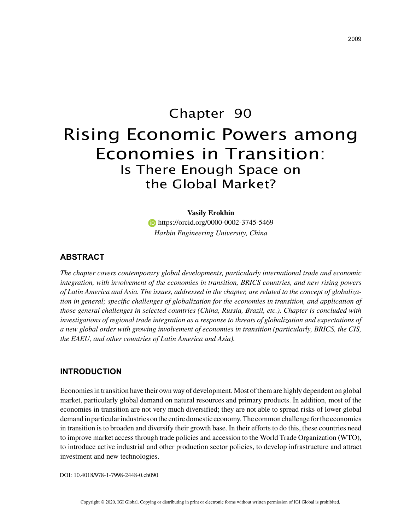# Chapter 90 Rising Economic Powers among Economies in Transition: Is There Enough Space on the Global Market?

**Vasily Erokhin https://orcid.org/0000-0002-3745-5469** *Harbin Engineering University, China*

## **ABSTRACT**

*The chapter covers contemporary global developments, particularly international trade and economic integration, with involvement of the economies in transition, BRICS countries, and new rising powers of Latin America and Asia. The issues, addressed in the chapter, are related to the concept of globalization in general; specific challenges of globalization for the economies in transition, and application of those general challenges in selected countries (China, Russia, Brazil, etc.). Chapter is concluded with*  investigations of regional trade integration as a response to threats of globalization and expectations of *a new global order with growing involvement of economies in transition (particularly, BRICS, the CIS, the EAEU, and other countries of Latin America and Asia).*

# **INTRODUCTION**

Economies in transition have their own way of development. Most of them are highly dependent on global market, particularly global demand on natural resources and primary products. In addition, most of the economies in transition are not very much diversified; they are not able to spread risks of lower global demand in particular industries on the entire domestic economy. The common challenge for the economies in transition is to broaden and diversify their growth base. In their efforts to do this, these countries need to improve market access through trade policies and accession to the World Trade Organization (WTO), to introduce active industrial and other production sector policies, to develop infrastructure and attract investment and new technologies.

DOI: 10.4018/978-1-7998-2448-0.ch090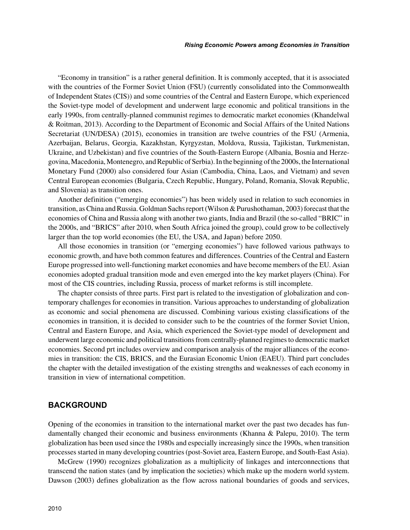"Economy in transition" is a rather general definition. It is commonly accepted, that it is associated with the countries of the Former Soviet Union (FSU) (currently consolidated into the Commonwealth of Independent States (CIS)) and some countries of the Central and Eastern Europe, which experienced the Soviet-type model of development and underwent large economic and political transitions in the early 1990s, from centrally-planned communist regimes to democratic market economies (Khandelwal & Roitman, 2013). According to the Department of Economic and Social Affairs of the United Nations Secretariat (UN/DESA) (2015), economies in transition are twelve countries of the FSU (Armenia, Azerbaijan, Belarus, Georgia, Kazakhstan, Kyrgyzstan, Moldova, Russia, Tajikistan, Turkmenistan, Ukraine, and Uzbekistan) and five countries of the South-Eastern Europe (Albania, Bosnia and Herzegovina, Macedonia, Montenegro, and Republic of Serbia). In the beginning of the 2000s, the International Monetary Fund (2000) also considered four Asian (Cambodia, China, Laos, and Vietnam) and seven Central European economies (Bulgaria, Czech Republic, Hungary, Poland, Romania, Slovak Republic, and Slovenia) as transition ones.

Another definition ("emerging economies") has been widely used in relation to such economies in transition, as China and Russia. Goldman Sachs report (Wilson & Purushothaman, 2003) forecast that the economies of China and Russia along with another two giants, India and Brazil (the so-called "BRIC" in the 2000s, and "BRICS" after 2010, when South Africa joined the group), could grow to be collectively larger than the top world economies (the EU, the USA, and Japan) before 2050.

All those economies in transition (or "emerging economies") have followed various pathways to economic growth, and have both common features and differences. Countries of the Central and Eastern Europe progressed into well-functioning market economies and have become members of the EU. Asian economies adopted gradual transition mode and even emerged into the key market players (China). For most of the CIS countries, including Russia, process of market reforms is still incomplete.

The chapter consists of three parts. First part is related to the investigation of globalization and contemporary challenges for economies in transition. Various approaches to understanding of globalization as economic and social phenomena are discussed. Combining various existing classifications of the economies in transition, it is decided to consider such to be the countries of the former Soviet Union, Central and Eastern Europe, and Asia, which experienced the Soviet-type model of development and underwent large economic and political transitions from centrally-planned regimes to democratic market economies. Second prt includes overview and comparison analysis of the major alliances of the economies in transition: the CIS, BRICS, and the Eurasian Economic Union (EAEU). Third part concludes the chapter with the detailed investigation of the existing strengths and weaknesses of each economy in transition in view of international competition.

### **BACKGROUND**

Opening of the economies in transition to the international market over the past two decades has fundamentally changed their economic and business environments (Khanna & Palepu, 2010). The term globalization has been used since the 1980s and especially increasingly since the 1990s, when transition processes started in many developing countries (post-Soviet area, Eastern Europe, and South-East Asia).

McGrew (1990) recognizes globalization as a multiplicity of linkages and interconnections that transcend the nation states (and by implication the societies) which make up the modern world system. Dawson (2003) defines globalization as the flow across national boundaries of goods and services,